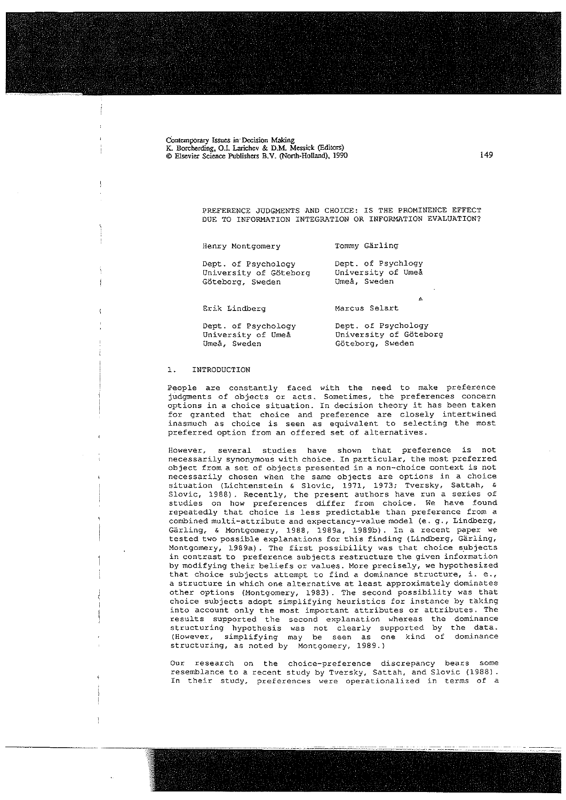Contemporary Issues in Decision Making K. Borcherding, O.I. Larichev & D.M. Messick (Editors) @ Elsevier Science Publishers E.V. (Norlh.Holland), 1990 149

> PREFERENCE JUDGMENTS AND CHOICE: IS THE PROMINENCE EFFECT DUE TO INFORMATION INTEGRATION OR INFORMATION EVALUATION?

|  | Henry Montgomery |  | Tommy Gärling |
|--|------------------|--|---------------|
|--|------------------|--|---------------|

Dept. of Psychology Dept. of Psychlogy<br>University of Göteborg University of Umea University of Göteborg University of University of University of University of University of University of University of University of University of University of University of University of University Of University Of Uni Göteborg, Sweden

Erik Lindberg Marcus Selart

s

Dept. of Psychology Dept. of Psychology University of Umeå University of Göteborg<br>Umeå, Sweden Göteborg, Sweden Göteborg, Sweden

### 1. INTRODUCTION

People are constantly faced with the need to make preference judgments of objects or acts. Sometimes, the preferences concern options in <sup>a</sup> choice situation. In decision theory it has been taken for granted that choice and preference are ciosely intertwined inasmuch as choice is seen as equivalent to selecting the most preferred option from an offered set of alternatives.

However, several studies have shown that preference is not necessarily synonymous with choice. In particular, the most preferred object from <sup>a</sup> set of objects presented in <sup>a</sup> non—choice context is not necessarily chosen when the same objects are options in <sup>a</sup> choice situation (Lichtenstein & Slovic, 1971, 1973; Tversky, Sattah, & Slovic, 1988) . Recently, the present authors have run <sup>a</sup> series of studies on how preferences differ from choice. We have found repeatedly that choice is less predictable than preference from <sup>a</sup> combined multi—attribute and expectancy-value model (e. g., Lindberg, Gärling, & Montgomery, 1988, 1989a, 1989b) . In <sup>a</sup> recent paper we tested two possible explanations for this finding (Lindberg, Gärling, Montgomery, 1989a) . The first possibility was that choice subjects in contrast to preference subjects restructure the given information by modifying their beliefs or values. More precisely, we hypothesized that choice subjects attempt to find a dominance structure, i. e., <sup>a</sup> structure in which one alternative at least approximately dominates other options (Montgomery, 1983). The second possibility was that choice subjects adopt simplifying heuristics for instance by taking into account only the most important attributes or attributes. The results Supported the second explanation uhereas the dominance structuring hypothesis was not clearly supported by the data. (However, simplifying may be seen as one kind of dominance structuring, as noted by Montgomery, 1989.)

Our research on the choice—preference discrepancy bears some resemblance to <sup>a</sup> recent study by Tversky, Sattah, and Slovic (1988) In their study, preferences vere operationalized in terms of <sup>a</sup>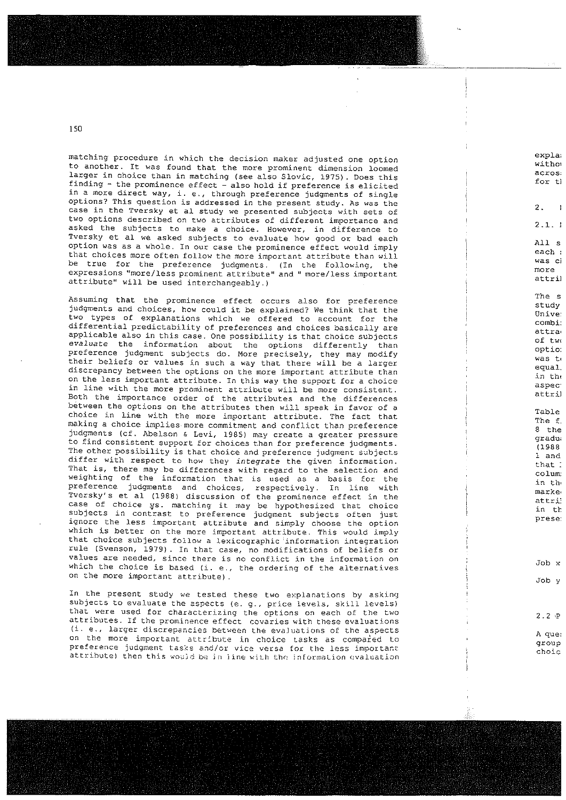matching procedure in which the decision maker adjusted one option expla; expla; expla; to another. It was found that the more prominent dimension loomed  $\frac{1}{2}$  acros, and the second that the more prominent dimension foomed<br>larger in choice than in matching (see also Slovic, 1975). Does this larger in choice than in matching (see also Slovic, 1975). Does this<br>finding - the prominence effect - also hold if preference is elicited inding - the prominence effect - also hold if preference is elicited<br><sup>in</sup> a more direct way, i. e., through preference judgments of single options? This question is addressed in the present study. As was the 2. case in the Tversky et al study we presented subjects with sets of two options described on two attributes of different importance and 11 and 2.1. i asked the subjects to make a choice. However, in difference to Tversky et al we asked subjects to evaluate how good or bad each a state of the disked subjects to evaluate how you of bad each each service of the state of the state of the s<br>option was as a whole. In our case the prominence effect would imply that choices more often follow the more important attribute than will was cinemated would have that the more important attribute than will was ci be true for the preference judgments. (In the following, the more more more expressions "more/less prominent attribute" and " more/less important attribute" and " more/less important attribute" and " more/less important attribute" and " more/less important attribute" and " more/less important attr attribute' will be used interchangeably.)

Assuming that the prominence effect occurs also for preference study study study judgments and choices, how could it be explained? We think that the and the Unive: two types of explanations which we offered to account for the combi:<br>differential substitutions of the combi: differential predictability of preferences and choices basically are attractional predictability of preferences and choices basically are attractional applicable also in this case. One possibility is that choice subjects  $\begin{array}{c} \big\downarrow$  of tw, evaluate the information about the options differently than preference judgment subjects do. More precisely, they may modify which was to was to preference judgment subjects do. More precisely, they may modify<br>their beliefs or values in such a way that there will be a larger will all the control was t discrepancy between the options on the more important attribute than in the more important attribute than in the in the more important attribute than in the in the sequel. alocoepancy between the options on the more important attribute than<br>On the less important attribute. In this way the support for a choice and and all all the support in the support in line with the more prominent attribute will be more consistent.<br>
Both the with the more prominent attribute will be more consistent. Both the importance order of the attributes and the differences between the options on the attributes then will speak in favor of choice in line with the more important attribute. The fact that and all the with the more important attribute. The fact that<br>making a choice implies more commitment and conflict than preference judgments (cf. Abelson & Levi, 1985) may create a greater pressure graduate graduate state of the state of the<br>Comments (cf. Abelson & Levi, 1985) may create a greater pressure degeneries (cf. Abelson & Bevi, 1985) may create a greater pressure<br>to find consistent support for choices than for preference judgments. The other possibility is that choice and preference judgment subjects differ with respect to how they integrate the given information.  $\overline{\phantom{a}}$  that: That is, there may be differences with regard to the selection and colunt and so, energy be differences with regard to the serection and in the service of the column<br>weighting of the information that is used as a basis for the service of the service of the service of the serv preference judgments and choices, respectively. In line with market market in the market of the market of the<br>Preference judgments and choices, respectively. In line with preference judgments and choices, respectively. In line with the marke marke marke attribute of the prominence effect in the attribute attribute attribute attribute attribute attribute attribute attribute attribute attribu case of choice ys. matching it may be hypothesized that choice in the series in the contract of the contract of the contract of the contract of the contract of the contract of the contract of the contract of the contract o subjects in contrast to preference judgment subjects often just have the contrast to prese ignore the iess important attribute and simply choose the option which is better on the more important attribute. This would imply That the second on the more important accribate. This would imply rule (Svenson, 1979) . In that case, no modifications of beliefs or values are needed, since there is no conflict in the information on values are heeded, since there is no conflict in the information on<br>which the choice is based (i. e., the ordering of the alternatives on the more important attribute) . Job

In the present study we tested these two explanations by asking subjects to evaluate the aspects (e. g., price tevels, skill levels) that were used for characterizing the options on each of the two attributes. If the prominence effect covaries with these evaluations (i. e., larger discrepancies hetween the evajuations of the aspeets on the more important attribute in choice tasks as compared to subsequently around preference judgment tasks and/or vice versa for the less important. The choic choic attribute) then this would be in line with the information ovaluation

A11 s

 $\overline{\phantom{0}}$ 

The s

optio: a Table 1988 and the second second second second second second second second second second second second second second second second second second second second second second second second second second second second secon Table The f.<br>8 the <sup>1</sup> and

Job v

Job x

 $2.2 P$ A que: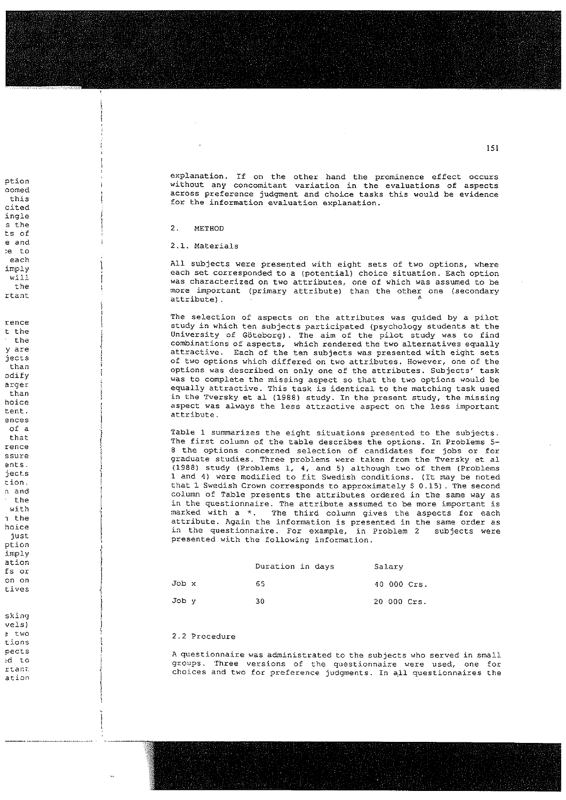explanation. If on the other hand the prominence effect occurs ption without any concomitant variation in the prominence effect occurs<br>Without any concomitant variation in the evaluations of aspects oomed aoross preference judginent and choice tasks this wouid be evidence oomed<br>this across preference judgment and choice tasks this would be evidence<br>for the information evaluation explanation.

each All subjects were presented with eight sets of two options, where  $\frac{1}{2}$ imply and the subjects were presented with eight sets of two options, where<br>each set corresponded to a (potential) choice situation. Each option<br>will ted with eight sets of two options, where<br>a (potential) choice situation. Each option will was characterized on two attributes, one of which was assumed to be the more interesting was characterized on two attributes, one of which was assumed to be the stribute important (primary attribute) than the other one (secondary rtant  $\uparrow$ 

The selection of aspects on the attributes uas guided by <sup>a</sup> pilot rence study in the substitution of aspects on the attributes was guident by a place<br>t the study in which ten subjects participated (psychology students at the<br>Iniversity of Göteborg) . The pilot study was to find  $\begin{array}{lll} \texttt{the} & \texttt{if} & \texttt{if} & \texttt{if} & \texttt{if} & \texttt{if} & \texttt{if} & \texttt{if} & \texttt{if} & \texttt{if} & \texttt{if} & \texttt{if} & \texttt{if} & \texttt{if} & \texttt{if} & \texttt{if} & \texttt{if} & \texttt{if} & \texttt{if} & \texttt{if} & \texttt{if} & \texttt{if} & \texttt{if} & \texttt{if} & \texttt{if} & \texttt{if} & \texttt{if} & \texttt{if} & \texttt{if} & \texttt{if} & \text$ y are  $\frac{1}{2}$  attractive. Each of the ten subjects was presented with eight sets attractive. Each of the ten subjects jects of two options whjcfl differed on two attributes. However, one of the than options was described on only one of the attributes. Subjects' task odify the complete the missing aspect so that the two options would be acquainty of the two options would be acquainty that the two options would be acquainty that the probability of the state of the two options would be a was to complete the missing aspect so that the two options would be than in the equally attractive. This task is identical to the matching task used<br>than than<br>hoice and in the less attractive and (1988) study. In the present study, the missing noice<br>tent. The same aspect was always the less attractive aspect on the less important<br>attribute.

nceed to the sunship of a<br>of a subjects. Table 1 summarizes the eight situations presented to the subjects.<br>that said the first column of the table describes the options. In Problems 5— The first column of the table describes the options. In Problems 5-8 the options concerned selection of candidates for jobs or for ssure and the studies. Three problems were taken from the Tversky et all ents. permittive the model of the studies. Three problems were taken from the Tversky et all and 5.<br>Ports and 1988 and 4) were modified to fit Swedish conditions. (It may be noted<br>1988 and 4) were modified to fit Swedish conditi 1 4) were modified to fit swedish conditions. (It may be noted<br>1 Swedish Crown corresponds to approximately \$ 0.15). The second n and column of Table presents the attributes ordered in the second<br>Column of Table presents the attributes ordered in the same way as the in the guestionnaire. The attributes ordered in the same way as<br>the inthe mostionnaire. The attribute assumed to be more important is inch a sum the questionnaire. The attribute assumed to be more important is<br>with the state of the state of the state of the aspects for each with  $\begin{array}{ccc} \text{with} & \text{in the geometric number of elements} \\ \text{in the first term of the number of elements of the elements} \\ \text{in the first term of the number of elements of the elements of the elements.} \end{array}$ in the same order as and attribute. Again the information is presented in the same order as a subject of the contra<br>2 subjects were the cultivationalize. For example, in Problem 2, subjects were in the questionnaire. For example, in Problem 2 subjects were presented with the following information.

| .<br>ation<br>ts or |       | Duration in days | Salary      |
|---------------------|-------|------------------|-------------|
| on on<br>tives      | Job x | 65               | 40 000 Crs. |
|                     | Job v | 30               | 20 000 Crs. |

### $\frac{3}{4}$  2.2 Procedure

<sup>A</sup> questionnaire was adrninistrated to the subjects who served in small : The Joseph Hamman Addition of the Subjects who served in small<br>A discussed to Joseph Three versions of the questionnaire were used, one for xtar choices and two for preference judgments. In all questionnaires the street in small<br>choices and two for preference judgments. In all questionnaires the

151

cited ingle s the 2. METHOD ts of e and  $\vert$  2.1. Materials ~e to ences of a junior  $\frac{1}{2}$  Table rence jeots cion. That that the contract of the contract of the contract of the contract of the contract of the contract o<br>Contract of the contract of the contract of the contract of the contract of the contract of the contract of th just ption imply <sup>I</sup> ation<br>fs or on on Job Job Job Job tives sking vels) tions pects ation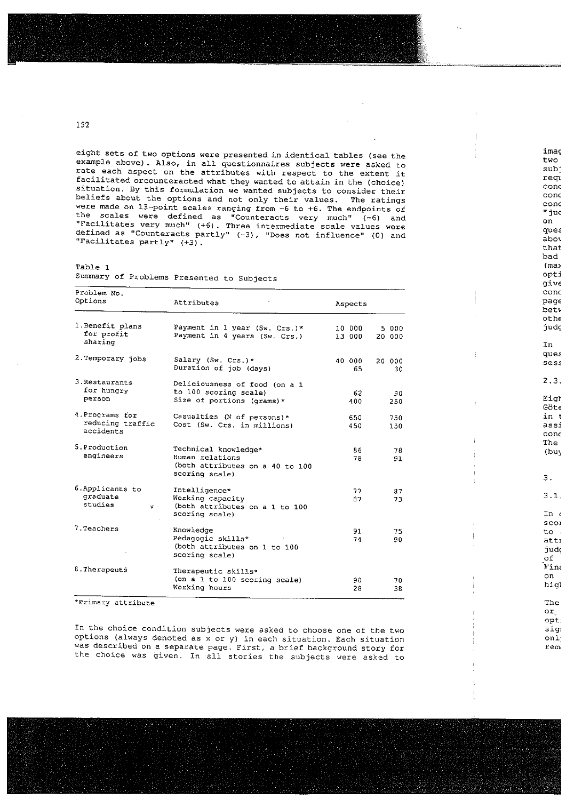eight sets of two options were presented in identical tables (see the example above). Also, in all questionnaires subjects were asked to rate each aspect on the attributes with respect to the extent it facilitated orcounteracted what they wanted to attain in the (choice) situation. By this formulation we wanted subjects to consider their beliefs about the options and not only their values. The ratings were made on 13-point scales ranging from -6 to +6. The endpoints of the scales were defined as "Counteracts very much" (-6) and "Facilitates very much" (+6). Three intermediate scale values were defined as "Counteracts partly" (-3), "Does not influence" (0) and "Facilitates partly" (+3).

imaç

two

sub-

regu

conc

conc

cond

" juc

ques

abot

that bad

(ma> opti give cond page betw othe judç In ques sess  $2.3.$ Eigh  $Gotc$ in t assi conc The  $(bu)$ 

З.  $3.1.$  $In<sub>0</sub>$ scoi to. attı judç of Fina  $^{\rm on}$ higl

The  $\mathsf{or}_{\mathbb{Z}}$ opt:

sig

onl:

rem

on

Table 1

| Summary of Problems Presented to Subjects |  |  |  |  |
|-------------------------------------------|--|--|--|--|
|-------------------------------------------|--|--|--|--|

| Problem No.<br>Options                           | Attributes                                                                                   | Aspects          |                 |  |  |
|--------------------------------------------------|----------------------------------------------------------------------------------------------|------------------|-----------------|--|--|
| 1.Benefit plans<br>for profit<br>sharing         | Payment in 1 year (Sw. Crs.)*<br>Payment in 4 years (Sw. Crs.)                               | 10 000<br>13 000 | 5 000<br>20 000 |  |  |
| 2. Temporary jobs                                | Salary (Sw. Crs.)*<br>Duration of job (days)                                                 | 40 000<br>65     | 20 000<br>30    |  |  |
| 3. Restaurants<br>for hungry<br>person           | Deliciousness of food (on a 1<br>to 100 scoring scale)<br>Size of portions (grams) *         | 62<br>400        | 90<br>250       |  |  |
| 4. Programs for<br>reducing traffic<br>accidents | Casualties (N of persons) *<br>Cost (Sw. Crs. in millions)                                   | 650<br>450       | 750<br>150      |  |  |
| 5.Production<br>engineers                        | Technical knowledge*<br>Human relations<br>(both attributes on a 40 to 100<br>scoring scale) | 86<br>78         | 78<br>91        |  |  |
| 6. Applicants to<br>graduate<br>studies<br>9     | Intelligence*<br>Working capacity<br>(both attributes on a 1 to 100<br>scoring scale)        | 77<br>87         | 87<br>73        |  |  |
| 7. Teachers                                      | Knowledge<br>Pedagogic skills*<br>(both attributes on 1 to 100<br>scoring scale)             | 91<br>74         | 75<br>90        |  |  |
| 8. Therapeuts                                    | Therapeutic skills*<br>(on a 1 to 100 scoring scale)<br>Working hours                        | 90<br>28         | 70<br>38        |  |  |

\*Primary attribute

In the choice condition subjects were asked to choose one of the two options (always denoted as  $\bar{x}$  or y) in each situation. Each situation was described on a separate page. First, a brief background story for the choice was given. In all stories the subjects were asked to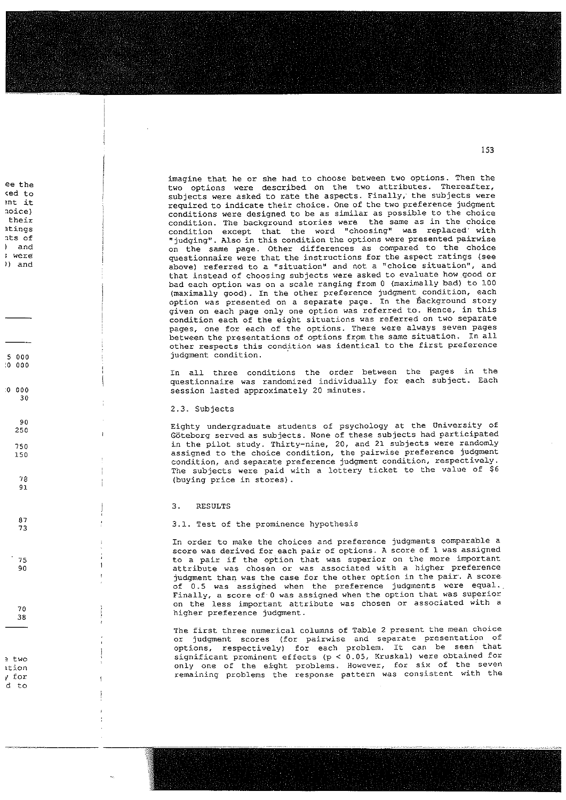ee the imagine that he or she had to choose between two options. Then the<br>two options were described on the two attributes. Thereafter,<br>she imagine two options were ested to rate the aspects. Finally, the subjects were (ed to subjects were asked to rate the aspects. Finally, the subjects were asked to rate the aspects. Finally, the subjects were indicate the subjects were asked to rate the aspects. Finally, the subjects were example of the two preference judgment<br>to required to indicate their choice. One of the two preference judgment<br>their<br>their their<br>atings and interesting that the word "choosing" was replaced with<br>condition excent that the word "choosing" was replaced with atings and condition except that the word "choosing" was replaced with<br>at a set of the structure also in this condition the options were presented pairwise "judging". Also in this condition the options were presented pairwise ) and  $\sum_{n=1}^{\infty}$  on the same page. Other differences as compared to the choice were and the contract of the instructions for the aspect ratings (see above) referred to a "situation" and not a "choice situation", and above) referred to a "situation" and not a "choice situation", and that instead of choosing subjects were asked to evaluate how good or bad each option was on <sup>a</sup> scale ranging from <sup>0</sup> (maximally bad) to 100 (maximally good). In the other preference judgment condition, each option was presented on a separate page. In the Background story given on each page only one option was referred to. Hence, in this condition each of the eight situations was referred on two separate pages, one for each of the options. There were always seven pages between the presentations of options from the same situation. In all other respects this condition was identical to the first preference 5 000 **judgment** condition.

In all three conditions the order between the pages in the questionnaire was randomized individually for each subject. Each :0 <sup>000</sup> session lasted approximately 20 minutes.

### 2.3. Subjects

 $10000$ 

 $\begin{array}{c} 90 \\ 250 \end{array}$ 

 $78$ 91

87 73

75 90

 $70$ 38

 $30$ 

<sup>d</sup> to

<sup>250</sup> Eighty undergraduate students of psyehology at the University of Göteborg served as subjects. None of these subjects had participated <sup>750</sup> in the pilot study. Thirty—nine, 20, and <sup>21</sup> subjects were randomly <sup>150</sup> assigned to the choice condition, the pairwise preference judginent condition, and separate preference judgment condition, respectively. The subjects were paid with a lottery ticket to the value of \$6 (buying price in stores)

#### 3. RESULTS

3.1. Test of the prominence hypotbesis

In order to make the choices and preference judgments comparable <sup>a</sup> score was derived for each pair of options. <sup>A</sup> score of i was assigned to <sup>a</sup> pair if the option that was superior on the more important attrjbute was chosen or was associated with <sup>a</sup> higher preference judgment than was the case for the other option in the pair. <sup>A</sup> score of 0.5 was assigned when the preference judgments were equal. Finally, a score of 0 was assigned when the option that was superior on the less important attribute was chosen or associated with <sup>a</sup> higher preference judgment.

The first three numerical columns of Table <sup>2</sup> present the mean choice or judgment scores (for pairwise and separate presentation of options, respectively) for each problem. It can be seen that two significant prominent effects (p <sup>&</sup>lt; 0.05, Kruskal) were obtained for ation and only one of the eight problems. However, for six of the seven<br>
y for the seven are remaining problems the response pattern was consistent with the remaining problems the response pattern was consistent with the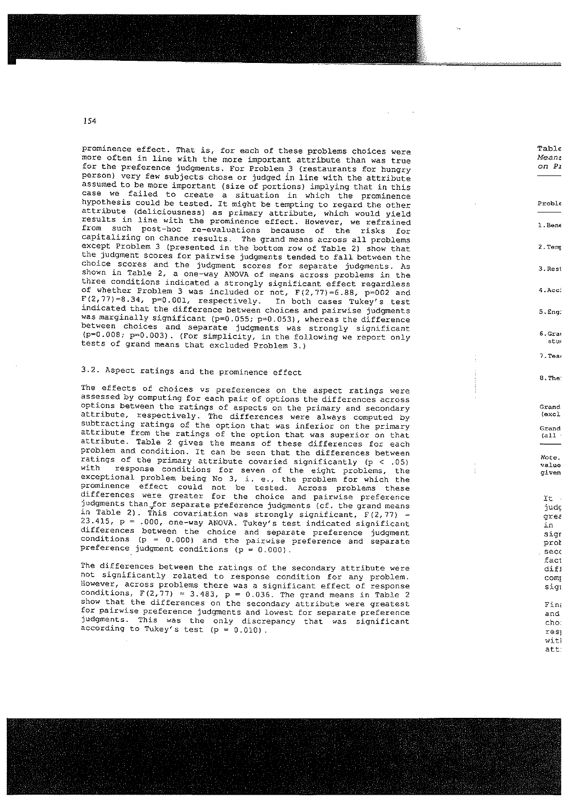prominence effect. That is, for each of these problems choices were more aften in line with the more important attribute than was true mese ered. In time with the more important attribute than was true...<br>for the preference judgments. For Problem 3 (restaurants for bungry person) very few subjects chose or judged in line with the attribute assumed to be more important (size of portions) implying that in this assamed to be more important (size of portions) implying that in this<br>case, we failed to create a situation in which the prominence hypothesis could be tested. It might be tempting to regard the other Proble attribute (deliciousness) as primary attribute, which would yield results in line with the prominence effect. However, we refrained  $1.$  Bene from such post—hoc re—evaluatjons because of the risks for capitalizing on chanoe results. The grand means across all problems experimenting on chance results. The grand means across all problems<br>except Problem 3 (presented in the bottom row of Table 2) show that except Problem 3 (presented in the bottom row of Table 2) show that<br>the judgment scores for pairwise judgments tended to fall between the choice scores and the judgments tended to fail between the<br>choice scores and the judgment scores for separate judgments. As shown in Table 2, <sup>a</sup> one—way ANOVA of means across problems in the In the conditions indicated a strongly significant effect regardless of whether Problem 3 was included or not, F(2,77)=6.88, p=002 and F(2,77)=8.34, p=0.00l, respectively. In both cases Tukey's test  $F(2, 77) = 8.34$ ,  $p=0.001$ , respectively. In both cases Tukey's test<br>indicated that the difference between choices and pairwise judgments  $\sim$  5.Eng: was marginally significant (p=0.055; p=0.053), whereas the difference between choices and separate judgments was strongly significant (p=0.008; p=0.003) . (For simplicity, in the following we report only tests of grand means that ezcluded Problen 3.)

Table<br>Means<br>on Pi

3. Rest

4.Acci

7. Tea

Grand

6.Grad stu

> res<sub>j</sub> att.

# 3.2. Aspect ratings and the prominence effect and B.Thanks are set of the B.Thanks and B.Thanks are set of the set of the B.Thanks are set of the B.Thanks are set of the B.Thanks are set of the B.Thanks are set of the B.Th

The effects of choices vs preferences on the aspect ratings were assessed by computing for each pair of options the differences across options between the ratings of aspects on the primary and secondary attribute, respectively. The differences were always computed by attribute, respectively. The differences were always computed by (excl<br>subtracting ratings of the option that was inferior on the primary Grand attribute from the ratings of the option that was superior on that (all attribute from the fatings of the option that was superior on that<br>attribute. Table 2 gives the means of these differences for each problem and condition. It can be seen that the differences between  $N$  Note. problem and condition. It can be seen that the differences between<br>ratings of the primary attribute covaried significantly (p < 05) with response conditions for seven of the eight problems, the  $q_i$  iven exceptional problem being No 3, i. e., the problem for which the one-persional problem being No 3, 1. e., the problem for which the<br>prominence effect could not be tested. Across problems these<br>differences were greater for the choice and pairwise preference differences were greater for the choice and pairwise preference<br>judgments than for separate preference judgments (cf. the grand means  $judc$ in Table 2). This covariation was strongly significant,  $F(2,77)$  =  $Grec$  $23.415$ ,  $p = .000$ , one-way ANOVA. Tukey's test indicated significant in the same  $p = .000$ , one-way ANOVA. Tukey's test indicated significant 23.415, p = .000, one-way ANOVA. Tukey's test indicated significant<br>differences between the choice and separate preference judgment sign sign conditions (p <sup>=</sup> 0.000-) and the pairwise preference and separate prot preference judgment conditions  $(p = 0.000)$ .<br>Preference judgment conditions  $(p = 0.000)$ .

preference judgment conditions  $(p = 0.000)$ .<br>The differences between the ratings of the secondary attribute were difl not significantly related to response condition for any problem. nse eightricantly related to response condition for any problem.<br>However, across problems there was a significant effect of response significant significant conditions, F(2,77) = 3.483, p = 0.036. The grand means in Table 2 sommitions,  $f(z, i) = 3.4$ 63,  $p = 0.036$ . The grand means in Table 2<br>show that the differences on the secondary attribute were greatest for that the affirences on the secondary attribute were greatest<br>for pairwise preference judgments and lowest for separate preference and and and ext part is the preference judgments and lowest for separate preference<br>judgments. This was the only discrepancy that was significant according to Tukey's the Only discrepancy that was significant.<br>according to Tukey's test (p = 0.010).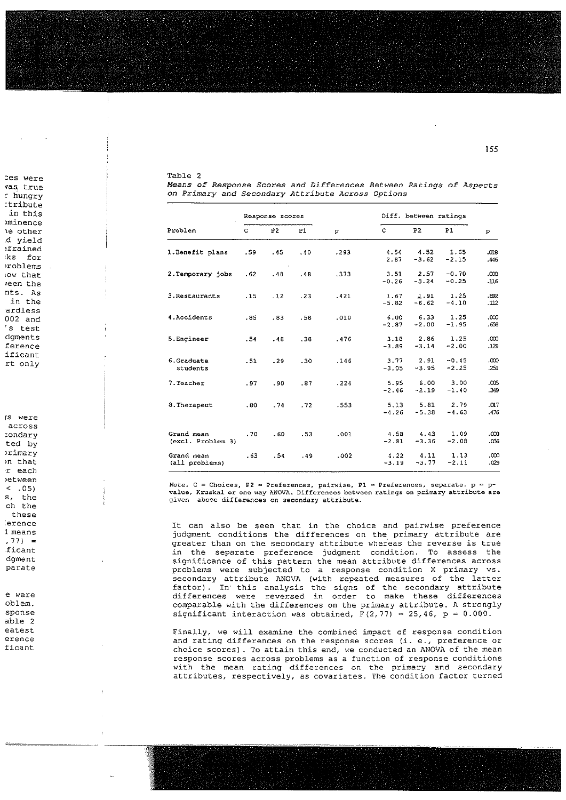ces were vas true r hungry itribute in this minence le other d yield :frained ks for problems low that reen the nts. As in the ardless  $002$  and 's test dqments ference ificant rt only is were across condary ted by primary in that

s, the ch the these erence d means  $, 77) =$ ficant dament parate e were oblem. sponse

r each etween

 $< .05$ 

able 2 eatest erence ficant

|  |  | Table 2 |  |  |
|--|--|---------|--|--|
|--|--|---------|--|--|

|                                 | Response scores |                      |     | Diff. between ratings |                 |                 |                    |                  |
|---------------------------------|-----------------|----------------------|-----|-----------------------|-----------------|-----------------|--------------------|------------------|
| Problem                         | c               | P <sub>2</sub>       | P1  | p                     | $\mathbf{C}$    | P <sub>2</sub>  | <b>P1</b>          | P                |
| 1. Benefit plans                | .59             | .45<br>$\rightarrow$ | .40 | .293                  | 4.54<br>2.87    | 4.52<br>$-3.62$ | 1.65<br>$-2.15$    | 810.<br>.446     |
| 2. Temporary jobs               | .62             | $-48$                | .48 | .373                  | 3.51<br>$-0.26$ | 2.57<br>$-3.24$ | $-0.70$<br>$-0.25$ | $\infty$<br>.116 |
| 3. Restaurants                  | .15             | $-12$                | .23 | .421                  | 1.67<br>$-5.82$ | 1.91<br>$-6.62$ | 1.25<br>$-4.10$    | .892<br>-112     |
| 4. Accidents                    | .85             | .83                  | .58 | .010                  | 6.00<br>$-2.87$ | 6.33<br>$-2.00$ | 1.25<br>$-1.95$    | $\infty$<br>.658 |
| 5. Engineer                     | . 54            | .48                  | .38 | .476                  | 3.18<br>$-3.89$ | 2.86<br>$-3.14$ | 1.25<br>$-2.00$    | .co<br>.129      |
| 6.Graduate<br>students          | .51             | $-29$                | .30 | .146                  | 3.77<br>$-3.05$ | 2.91<br>$-3.95$ | $-0.45$<br>$-2.25$ | .coo<br>.251     |
| 7. Teacher                      | .97             | .90                  | .87 | .224                  | 5.95<br>$-2.46$ | 6.00<br>$-2.19$ | 3.00<br>$-1.40$    | .œ<br>.349       |
| 8. The rapeut                   | .80             | .74                  | .72 | .553                  | 5.13<br>$-4.26$ | 5.81<br>$-5.38$ | 2.79<br>$-4.63$    | .017<br>.476     |
| Grand mean<br>(excl. Problem 3) | .70             | $-60$                | .53 | .001                  | 4.58<br>$-2.81$ | 4.43<br>$-3.36$ | 1.09<br>$-2.08$    | .000<br>.036     |
| Grand mean<br>(all problems)    | .63             | .54                  | .49 | .002                  | 4.22<br>$-3.19$ | 4.11<br>$-3.77$ | 1.13<br>$-2.11$    | $\infty$<br>.029 |

Means of Response Scores and Differences Between Ratings of Aspects on Primary and Secondary Attribute Across Options

Note. C = Choices, P2 = Preferences, pairwise, P1 = Preferences, separate. p = pvalue, Kruskal or one way ANOVA. Differences between ratings on primary attribute are given above differences on secondary attribute.

It can also be seen that in the choice and pairwise preference judgment conditions the differences on the primary attribute are greater than on the secondary attribute whereas the reverse is true in the separate preference judgment condition. To assess the significance of this pattern the mean attribute differences across problems were subjected to a response condition X primary vs. secondary attribute ANOVA (with repeated measures of the latter factor). In this analysis the signs of the secondary attribute<br>differences were reversed in order to make these differences comparable with the differences on the primary attribute. A strongly significant interaction was obtained,  $F(2,77) = 25,46$ ,  $p = 0.000$ .

Finally, we will examine the combined impact of response condition and rating differences on the response scores (i. e., preference or choice scores). To attain this end, we conducted an ANOVA of the mean response scores across problems as a function of response conditions with the mean rating differences on the primary and secondary attributes, respectively, as covariates. The condition factor turned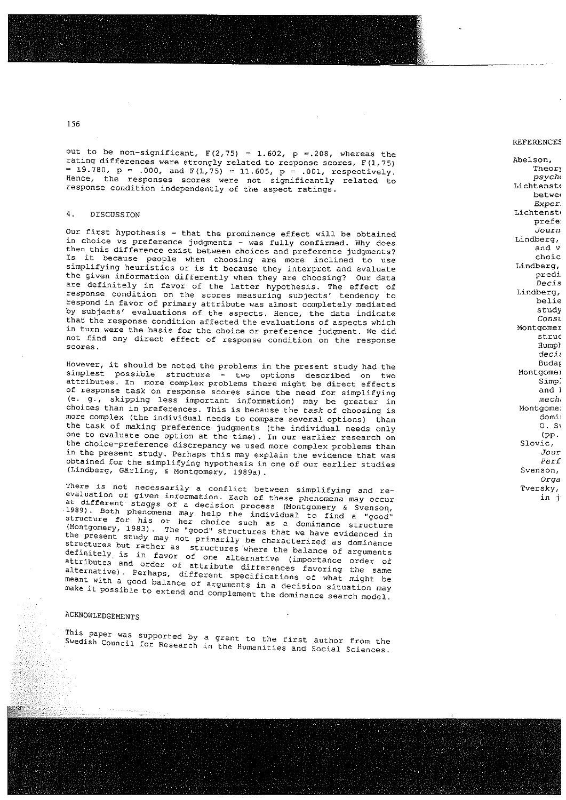**I** 

out to be non-significant,  $F(2,75) = 1.602$ ,  $p = .208$ , whereas the rating differences were strongly related to response scores,  $F(1,75)$  Abelson,  $F(1,78)$  Theory Theory  $= 19.780$ ,  $p = .000$ , and  $F(1,75) = 11.605$ ,  $p = .001$ , respectively. Theory psychology flence, the responses scores were not significantly related to  $P_{\text{SVDM}}$   $P_{\text{SVDM}}$ response condition independently of the aspect ratings. betwe

# 4. DISCUSSION Lichtenst

prefe:<br>Our first hypothesis – that the prominence effect will be obtained<br>in choice vs preference judgments - use fully confirmed liby dess in choice vs preference judgments – was fully confirmed. Why does and valuation of the valuation of the state of the valuation of the valuation of the valuation of the valuation of the valuation of the valuation of the val then this difference exist between choices and preference judgments? and v<br>Is it because people than choosing and many inclinate the use Is it because people when choosing are more inclined to use and the choic<br>simplifying heuristics or is it because they interpret and evaluate simplifying heuristics or is it because they interpret and evaluate  $p_{\text{ref}}$  because the given information differently when they are choosing? Our data the given information differently when they are choosing? Our data<br>are definitely in favor of the latter hungthesis, The offect of are definitely in favor of the latter hypothesis. The effect of  $\mu$ ects  $\mu$ response condition on the scores measuring subjects' tendency to belie belie belie belie respond in favor of primary attribute was almost completely mediated study study study study by subjects' evaluations of the aspects. Hence, the data indicate examples of the constant of the constant of the const that the response condition affected the evaluations of aspects which which which which the hasis for the choice or proforceses independent  $\mathbb{R}$  and  $\mathbb{R}$  and  $\mathbb{R}$  montgomer in turn were the basis for the choice or preference judgment. We did structured and structure in the structure of recognizion or the recogness of the structure of the structure of the structure of the structure of the stru not find any direct effect of response condition on the response Hurnph Struck Struck and the Struck Struck Struck<br>Hurnpress Hurnpth Struck and the response condition on the response scores. The contract of the condition on the response of the conditions of Humple

However, it should be noted the problems in the present study had the Montgomeh Budate<br>Simplest possible structure a the aptience described as the Montgomei simplest possible structure - two options described on two structure inductions attributes. In more complex problems there might be direct effects. attributes. In more complex problems there might be direct effects of response task on response scores since the need for simplifying ment, and I (e. g., skipping less important information) may be greater in  $\frac{1}{\sqrt{1-\frac{1}{n}}}$ choices than in preferences. This is because the task of choosing is dominant dominant dependences. more complex (the individual needs to compare several options) than  $\mathbb{R}^n$ the task of making preference judgments (the individual needs only  $(2.5)$ one to evaluate one option at the time). In our earlier research on the choice-preference discrepancy we used more complex problems than Slovic, the choice-preference discrepancy we used more complex problems than in the present study. Perhaps this may explain the evidence that was  $Jour$ of the present study. Fernaps this may explain the evidence that was<br>obtained for the simplifying hypothesis in one of our earlier studies Subsequent Marshall Per. (I.indberg, Gärling, & Montgomery, l989a) . onga

There is not necessarily <sup>a</sup> confljct between simplifying and re— Tversky, evaluation of given information. Each of these phenomena may occur in j in j evaluation of given information. Each of these phenomena may occu.<br>at different stages of a decision process (Montgomery 4.0) 1989). Both phenomena may help the individual to find a Svenson,<br>1989). Both phenomena may help the individual to find structure for his or her choice such as a dominant to find a "good" (Montgomery, 1983). The "good" structures that we dominance structure (Montgomery, 1983). The "good" structures that we have evidenced in the present study may not primarily be characterized as dominance structures but rather as structures where the balance of arguments definitely is in favor of one alternative (importance order of attributes and order of attribute differences favoring the same alternative). Perhaps, different specifications of what might be<br>meant with a good balance of arguments in a decision situation may<br>make it possible to extend and complement the dominance search model. meant with a good balance of arguments in a decision situation may

## ACKNOWLEDGEMENTS

This paper was supported by a grant to the first author from the first author from the first author from the first author from the first author from the first author from the first author from the first author for the firs The paper was supported by a grant to the first author from the

REFERENCEE

Exper.